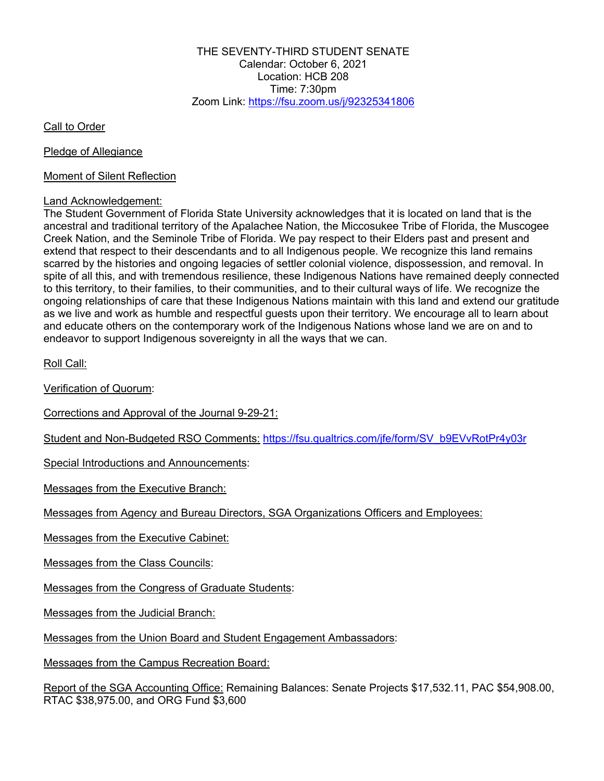THE SEVENTY-THIRD STUDENT SENATE Calendar: October 6, 2021 Location: HCB 208 Time: 7:30pm Zoom Link: https://fsu.zoom.us/j/92325341806

Call to Order

Pledge of Allegiance

Moment of Silent Reflection

## Land Acknowledgement:

The Student Government of Florida State University acknowledges that it is located on land that is the ancestral and traditional territory of the Apalachee Nation, the Miccosukee Tribe of Florida, the Muscogee Creek Nation, and the Seminole Tribe of Florida. We pay respect to their Elders past and present and extend that respect to their descendants and to all Indigenous people. We recognize this land remains scarred by the histories and ongoing legacies of settler colonial violence, dispossession, and removal. In spite of all this, and with tremendous resilience, these Indigenous Nations have remained deeply connected to this territory, to their families, to their communities, and to their cultural ways of life. We recognize the ongoing relationships of care that these Indigenous Nations maintain with this land and extend our gratitude as we live and work as humble and respectful guests upon their territory. We encourage all to learn about and educate others on the contemporary work of the Indigenous Nations whose land we are on and to endeavor to support Indigenous sovereignty in all the ways that we can.

Roll Call:

Verification of Quorum:

Corrections and Approval of the Journal 9-29-21:

Student and Non-Budgeted RSO Comments: https://fsu.qualtrics.com/jfe/form/SV\_b9EVvRotPr4y03r

Special Introductions and Announcements:

Messages from the Executive Branch:

Messages from Agency and Bureau Directors, SGA Organizations Officers and Employees:

Messages from the Executive Cabinet:

Messages from the Class Councils:

Messages from the Congress of Graduate Students:

Messages from the Judicial Branch:

Messages from the Union Board and Student Engagement Ambassadors:

Messages from the Campus Recreation Board:

Report of the SGA Accounting Office: Remaining Balances: Senate Projects \$17,532.11, PAC \$54,908.00, RTAC \$38,975.00, and ORG Fund \$3,600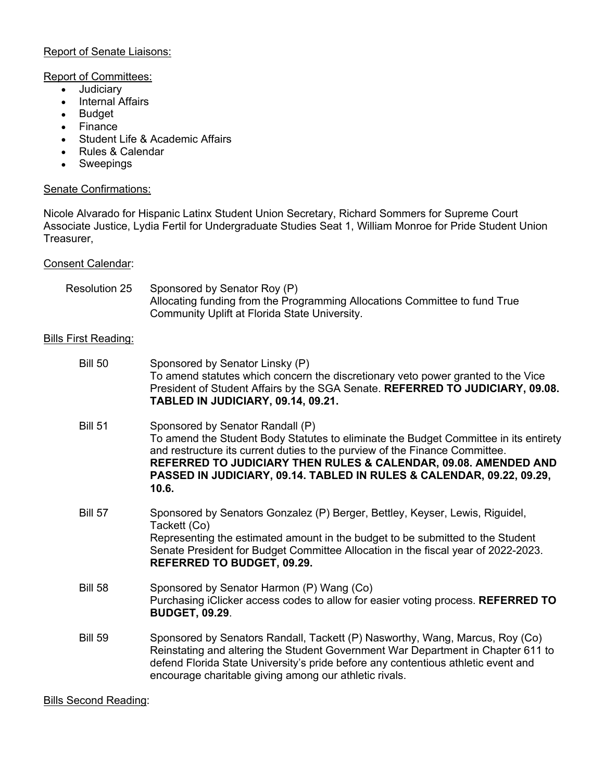# Report of Senate Liaisons:

### Report of Committees:

- Judiciary
- Internal Affairs
- Budget
- Finance
- Student Life & Academic Affairs
- Rules & Calendar
- Sweepings

# Senate Confirmations:

Nicole Alvarado for Hispanic Latinx Student Union Secretary, Richard Sommers for Supreme Court Associate Justice, Lydia Fertil for Undergraduate Studies Seat 1, William Monroe for Pride Student Union Treasurer,

### Consent Calendar:

| <b>Resolution 25</b>        | Sponsored by Senator Roy (P)<br>Allocating funding from the Programming Allocations Committee to fund True<br>Community Uplift at Florida State University.                                                                                                                                                                                                  |
|-----------------------------|--------------------------------------------------------------------------------------------------------------------------------------------------------------------------------------------------------------------------------------------------------------------------------------------------------------------------------------------------------------|
| <b>Bills First Reading:</b> |                                                                                                                                                                                                                                                                                                                                                              |
| <b>Bill 50</b>              | Sponsored by Senator Linsky (P)<br>To amend statutes which concern the discretionary veto power granted to the Vice<br>President of Student Affairs by the SGA Senate. REFERRED TO JUDICIARY, 09.08.<br>TABLED IN JUDICIARY, 09.14, 09.21.                                                                                                                   |
| <b>Bill 51</b>              | Sponsored by Senator Randall (P)<br>To amend the Student Body Statutes to eliminate the Budget Committee in its entirety<br>and restructure its current duties to the purview of the Finance Committee.<br>REFERRED TO JUDICIARY THEN RULES & CALENDAR, 09.08. AMENDED AND<br>PASSED IN JUDICIARY, 09.14. TABLED IN RULES & CALENDAR, 09.22, 09.29,<br>10.6. |
| <b>Bill 57</b>              | Sponsored by Senators Gonzalez (P) Berger, Bettley, Keyser, Lewis, Riguidel,<br>Tackett (Co)<br>Representing the estimated amount in the budget to be submitted to the Student<br>Senate President for Budget Committee Allocation in the fiscal year of 2022-2023.<br><b>REFERRED TO BUDGET, 09.29.</b>                                                     |
| <b>Bill 58</b>              | Sponsored by Senator Harmon (P) Wang (Co)<br>Purchasing iClicker access codes to allow for easier voting process. REFERRED TO<br><b>BUDGET, 09.29.</b>                                                                                                                                                                                                       |
| <b>Bill 59</b>              | Sponsored by Senators Randall, Tackett (P) Nasworthy, Wang, Marcus, Roy (Co)<br>Reinstating and altering the Student Government War Department in Chapter 611 to<br>defend Florida State University's pride before any contentious athletic event and<br>encourage charitable giving among our athletic rivals.                                              |

Bills Second Reading: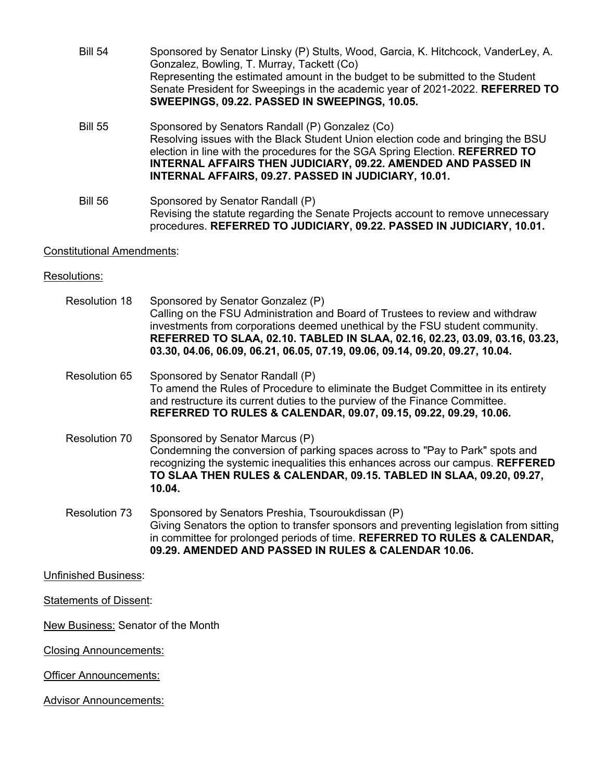- Bill 54 Sponsored by Senator Linsky (P) Stults, Wood, Garcia, K. Hitchcock, VanderLey, A. Gonzalez, Bowling, T. Murray, Tackett (Co) Representing the estimated amount in the budget to be submitted to the Student Senate President for Sweepings in the academic year of 2021-2022. **REFERRED TO SWEEPINGS, 09.22. PASSED IN SWEEPINGS, 10.05.**
- Bill 55 Sponsored by Senators Randall (P) Gonzalez (Co) Resolving issues with the Black Student Union election code and bringing the BSU election in line with the procedures for the SGA Spring Election. **REFERRED TO INTERNAL AFFAIRS THEN JUDICIARY, 09.22. AMENDED AND PASSED IN INTERNAL AFFAIRS, 09.27. PASSED IN JUDICIARY, 10.01.**
- Bill 56 Sponsored by Senator Randall (P) Revising the statute regarding the Senate Projects account to remove unnecessary procedures. **REFERRED TO JUDICIARY, 09.22. PASSED IN JUDICIARY, 10.01.**

### Constitutional Amendments:

### Resolutions:

- Resolution 18 Sponsored by Senator Gonzalez (P) Calling on the FSU Administration and Board of Trustees to review and withdraw investments from corporations deemed unethical by the FSU student community. **REFERRED TO SLAA, 02.10. TABLED IN SLAA, 02.16, 02.23, 03.09, 03.16, 03.23, 03.30, 04.06, 06.09, 06.21, 06.05, 07.19, 09.06, 09.14, 09.20, 09.27, 10.04.**
- Resolution 65 Sponsored by Senator Randall (P) To amend the Rules of Procedure to eliminate the Budget Committee in its entirety and restructure its current duties to the purview of the Finance Committee. **REFERRED TO RULES & CALENDAR, 09.07, 09.15, 09.22, 09.29, 10.06.**
- Resolution 70 Sponsored by Senator Marcus (P) Condemning the conversion of parking spaces across to "Pay to Park" spots and recognizing the systemic inequalities this enhances across our campus. **REFFERED TO SLAA THEN RULES & CALENDAR, 09.15. TABLED IN SLAA, 09.20, 09.27, 10.04.**
- Resolution 73 Sponsored by Senators Preshia, Tsouroukdissan (P) Giving Senators the option to transfer sponsors and preventing legislation from sitting in committee for prolonged periods of time. **REFERRED TO RULES & CALENDAR, 09.29. AMENDED AND PASSED IN RULES & CALENDAR 10.06.**

Unfinished Business:

Statements of Dissent:

New Business: Senator of the Month

Closing Announcements:

Officer Announcements:

Advisor Announcements: